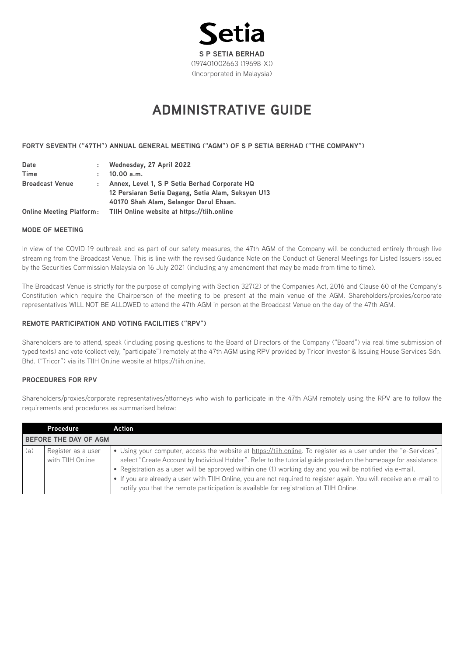

# **ADMINISTRATIVE GUIDE**

# **FORTY SEVENTH ("47TH") ANNUAL GENERAL MEETING ("AGM") OF S P SETIA BERHAD ("THE COMPANY")**

| Date                            |              | : Wednesday, 27 April 2022                         |
|---------------------------------|--------------|----------------------------------------------------|
| <b>Time</b>                     | $\mathbf{r}$ | 10.00 a.m.                                         |
| <b>Broadcast Venue</b>          |              | Annex, Level 1, S P Setia Berhad Corporate HQ      |
|                                 |              | 12 Persiaran Setia Dagang, Setia Alam, Seksyen U13 |
|                                 |              | 40170 Shah Alam, Selangor Darul Ehsan.             |
| <b>Online Meeting Platform:</b> |              | TIIH Online website at https://tiih.online         |

#### **MODE OF MEETING**

In view of the COVID-19 outbreak and as part of our safety measures, the 47th AGM of the Company will be conducted entirely through live streaming from the Broadcast Venue. This is line with the revised Guidance Note on the Conduct of General Meetings for Listed Issuers issued by the Securities Commission Malaysia on 16 July 2021 (including any amendment that may be made from time to time).

The Broadcast Venue is strictly for the purpose of complying with Section 327(2) of the Companies Act, 2016 and Clause 60 of the Company's Constitution which require the Chairperson of the meeting to be present at the main venue of the AGM. Shareholders/proxies/corporate representatives WILL NOT BE ALLOWED to attend the 47th AGM in person at the Broadcast Venue on the day of the 47th AGM.

# **REMOTE PARTICIPATION AND VOTING FACILITIES ("RPV")**

Shareholders are to attend, speak (including posing questions to the Board of Directors of the Company ("Board") via real time submission of typed texts) and vote (collectively, "participate") remotely at the 47th AGM using RPV provided by Tricor Investor & Issuing House Services Sdn. Bhd. ("Tricor") via its TIIH Online website at https://tiih.online.

# **PROCEDURES FOR RPV**

Shareholders/proxies/corporate representatives/attorneys who wish to participate in the 47th AGM remotely using the RPV are to follow the requirements and procedures as summarised below:

|     | Procedure                              | Action                                                                                                                                                                                                                                                                                                                                                                                                                                                                                                                                                           |
|-----|----------------------------------------|------------------------------------------------------------------------------------------------------------------------------------------------------------------------------------------------------------------------------------------------------------------------------------------------------------------------------------------------------------------------------------------------------------------------------------------------------------------------------------------------------------------------------------------------------------------|
|     | BEFORE THE DAY OF AGM                  |                                                                                                                                                                                                                                                                                                                                                                                                                                                                                                                                                                  |
| (a) | Register as a user<br>with TIIH Online | • Using your computer, access the website at https://tiih.online. To register as a user under the "e-Services",<br>select "Create Account by Individual Holder". Refer to the tutorial guide posted on the homepage for assistance.<br>• Registration as a user will be approved within one (1) working day and you wil be notified via e-mail.<br>. If you are already a user with TIIH Online, you are not required to register again. You will receive an e-mail to<br>notify you that the remote participation is available for registration at TIIH Online. |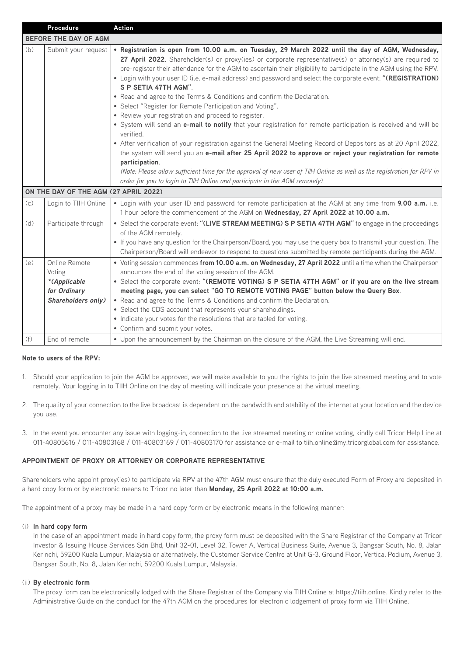|                              | Procedure                                                                     | <b>Action</b>                                                                                                                                                                                                                                                                                                                                                                                                                                                                                                                                                                                                                                                                                                                                                                                                                                                                                                                                                                                                                                                                                                                                                                                                                                                      |  |  |
|------------------------------|-------------------------------------------------------------------------------|--------------------------------------------------------------------------------------------------------------------------------------------------------------------------------------------------------------------------------------------------------------------------------------------------------------------------------------------------------------------------------------------------------------------------------------------------------------------------------------------------------------------------------------------------------------------------------------------------------------------------------------------------------------------------------------------------------------------------------------------------------------------------------------------------------------------------------------------------------------------------------------------------------------------------------------------------------------------------------------------------------------------------------------------------------------------------------------------------------------------------------------------------------------------------------------------------------------------------------------------------------------------|--|--|
| <b>BEFORE THE DAY OF AGM</b> |                                                                               |                                                                                                                                                                                                                                                                                                                                                                                                                                                                                                                                                                                                                                                                                                                                                                                                                                                                                                                                                                                                                                                                                                                                                                                                                                                                    |  |  |
| (b)                          | Submit your request<br>ON THE DAY OF THE AGM (27 APRIL 2022)                  | . Registration is open from 10.00 a.m. on Tuesday, 29 March 2022 until the day of AGM, Wednesday,<br>27 April 2022. Shareholder(s) or proxy(ies) or corporate representative(s) or attorney(s) are required to<br>pre-register their attendance for the AGM to ascertain their eligibility to participate in the AGM using the RPV.<br>. Login with your user ID (i.e. e-mail address) and password and select the corporate event: "(REGISTRATION)<br>S P SETIA 47TH AGM".<br>• Read and agree to the Terms & Conditions and confirm the Declaration.<br>• Select "Register for Remote Participation and Voting".<br>• Review your registration and proceed to register.<br>. System will send an e-mail to notify that your registration for remote participation is received and will be<br>verified.<br>• After verification of your registration against the General Meeting Record of Depositors as at 20 April 2022,<br>the system will send you an e-mail after 25 April 2022 to approve or reject your registration for remote<br>participation.<br>(Note: Please allow sufficient time for the approval of new user of TIIH Online as well as the registration for RPV in<br>order for you to login to TIIH Online and participate in the AGM remotely). |  |  |
| (c)                          |                                                                               | . Login with your user ID and password for remote participation at the AGM at any time from 9.00 a.m. i.e.                                                                                                                                                                                                                                                                                                                                                                                                                                                                                                                                                                                                                                                                                                                                                                                                                                                                                                                                                                                                                                                                                                                                                         |  |  |
|                              | Login to TIIH Online                                                          | 1 hour before the commencement of the AGM on Wednesday, 27 April 2022 at 10.00 a.m.                                                                                                                                                                                                                                                                                                                                                                                                                                                                                                                                                                                                                                                                                                                                                                                                                                                                                                                                                                                                                                                                                                                                                                                |  |  |
| (d)                          | Participate through                                                           | • Select the corporate event: "(LIVE STREAM MEETING) S P SETIA 47TH AGM" to engage in the proceedings<br>of the AGM remotely.<br>. If you have any question for the Chairperson/Board, you may use the query box to transmit your question. The<br>Chairperson/Board will endeavor to respond to questions submitted by remote participants during the AGM.                                                                                                                                                                                                                                                                                                                                                                                                                                                                                                                                                                                                                                                                                                                                                                                                                                                                                                        |  |  |
| (e)                          | Online Remote<br>Voting<br>*(Applicable<br>for Ordinary<br>Shareholders only) | • Voting session commences from 10.00 a.m. on Wednesday, 27 April 2022 until a time when the Chairperson<br>announces the end of the voting session of the AGM.<br>. Select the corporate event: "(REMOTE VOTING) S P SETIA 47TH AGM" or if you are on the live stream<br>meeting page, you can select "GO TO REMOTE VOTING PAGE" button below the Query Box.<br>• Read and agree to the Terms & Conditions and confirm the Declaration.<br>• Select the CDS account that represents your shareholdings.<br>• Indicate your votes for the resolutions that are tabled for voting.<br>• Confirm and submit your votes.                                                                                                                                                                                                                                                                                                                                                                                                                                                                                                                                                                                                                                              |  |  |
| (f)                          | End of remote                                                                 | . Upon the announcement by the Chairman on the closure of the AGM, the Live Streaming will end.                                                                                                                                                                                                                                                                                                                                                                                                                                                                                                                                                                                                                                                                                                                                                                                                                                                                                                                                                                                                                                                                                                                                                                    |  |  |

# **Note to users of the RPV:**

- 1. Should your application to join the AGM be approved, we will make available to you the rights to join the live streamed meeting and to vote remotely. Your logging in to TIIH Online on the day of meeting will indicate your presence at the virtual meeting.
- 2. The quality of your connection to the live broadcast is dependent on the bandwidth and stability of the internet at your location and the device you use.
- 3. In the event you encounter any issue with logging-in, connection to the live streamed meeting or online voting, kindly call Tricor Help Line at 011-40805616 / 011-40803168 / 011-40803169 / 011-40803170 for assistance or e-mail to tiih.online@my.tricorglobal.com for assistance.

# **APPOINTMENT OF PROXY OR ATTORNEY OR CORPORATE REPRESENTATIVE**

Shareholders who appoint proxy(ies) to participate via RPV at the 47th AGM must ensure that the duly executed Form of Proxy are deposited in a hard copy form or by electronic means to Tricor no later than **Monday, 25 April 2022 at 10:00 a.m.**

The appointment of a proxy may be made in a hard copy form or by electronic means in the following manner:-

#### (i) **In hard copy form**

In the case of an appointment made in hard copy form, the proxy form must be deposited with the Share Registrar of the Company at Tricor Investor & Issuing House Services Sdn Bhd, Unit 32-01, Level 32, Tower A, Vertical Business Suite, Avenue 3, Bangsar South, No. 8, Jalan Kerinchi, 59200 Kuala Lumpur, Malaysia or alternatively, the Customer Service Centre at Unit G-3, Ground Floor, Vertical Podium, Avenue 3, Bangsar South, No. 8, Jalan Kerinchi, 59200 Kuala Lumpur, Malaysia.

#### (ii) **By electronic form**

The proxy form can be electronically lodged with the Share Registrar of the Company via TIIH Online at https://tiih.online. Kindly refer to the Administrative Guide on the conduct for the 47th AGM on the procedures for electronic lodgement of proxy form via TIIH Online.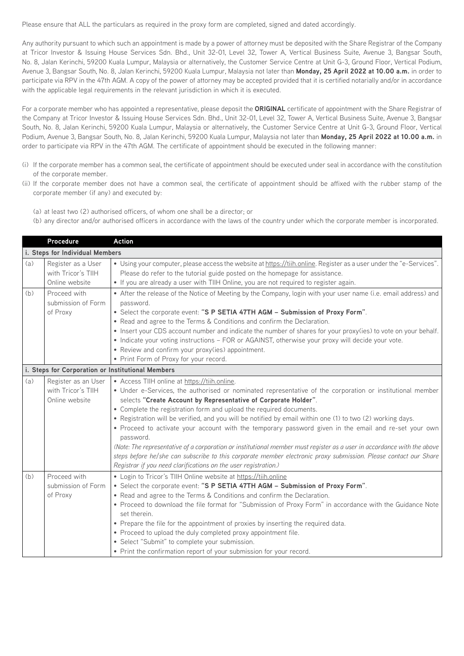Please ensure that ALL the particulars as required in the proxy form are completed, signed and dated accordingly.

Any authority pursuant to which such an appointment is made by a power of attorney must be deposited with the Share Registrar of the Company at Tricor Investor & Issuing House Services Sdn. Bhd., Unit 32-01, Level 32, Tower A, Vertical Business Suite, Avenue 3, Bangsar South, No. 8, Jalan Kerinchi, 59200 Kuala Lumpur, Malaysia or alternatively, the Customer Service Centre at Unit G-3, Ground Floor, Vertical Podium, Avenue 3, Bangsar South, No. 8, Jalan Kerinchi, 59200 Kuala Lumpur, Malaysia not later than **Monday, 25 April 2022 at 10.00 a.m.** in order to participate via RPV in the 47th AGM. A copy of the power of attorney may be accepted provided that it is certified notarially and/or in accordance with the applicable legal requirements in the relevant jurisdiction in which it is executed.

For a corporate member who has appointed a representative, please deposit the **ORIGINAL** certificate of appointment with the Share Registrar of the Company at Tricor Investor & Issuing House Services Sdn. Bhd., Unit 32-01, Level 32, Tower A, Vertical Business Suite, Avenue 3, Bangsar South, No. 8, Jalan Kerinchi, 59200 Kuala Lumpur, Malaysia or alternatively, the Customer Service Centre at Unit G-3, Ground Floor, Vertical Podium, Avenue 3, Bangsar South, No. 8, Jalan Kerinchi, 59200 Kuala Lumpur, Malaysia not later than **Monday, 25 April 2022 at 10.00 a.m.** in order to participate via RPV in the 47th AGM. The certificate of appointment should be executed in the following manner:

- (i) If the corporate member has a common seal, the certificate of appointment should be executed under seal in accordance with the constitution of the corporate member.
- (ii) If the corporate member does not have a common seal, the certificate of appointment should be affixed with the rubber stamp of the corporate member (if any) and executed by:
	- (a) at least two (2) authorised officers, of whom one shall be a director; or
	- (b) any director and/or authorised officers in accordance with the laws of the country under which the corporate member is incorporated.

|                                 | Procedure                                                   | <b>Action</b>                                                                                                                                                                                                                                                                                                                                                                                                                                                                                                                                                                                                                                                                                                                                                                                                                                             |  |  |
|---------------------------------|-------------------------------------------------------------|-----------------------------------------------------------------------------------------------------------------------------------------------------------------------------------------------------------------------------------------------------------------------------------------------------------------------------------------------------------------------------------------------------------------------------------------------------------------------------------------------------------------------------------------------------------------------------------------------------------------------------------------------------------------------------------------------------------------------------------------------------------------------------------------------------------------------------------------------------------|--|--|
| i. Steps for Individual Members |                                                             |                                                                                                                                                                                                                                                                                                                                                                                                                                                                                                                                                                                                                                                                                                                                                                                                                                                           |  |  |
| (a)                             | Register as a User<br>with Tricor's TIIH<br>Online website  | • Using your computer, please access the website at https://tiih.online. Register as a user under the "e-Services".<br>Please do refer to the tutorial guide posted on the homepage for assistance.<br>. If you are already a user with TIIH Online, you are not required to register again.                                                                                                                                                                                                                                                                                                                                                                                                                                                                                                                                                              |  |  |
| (b)                             | Proceed with<br>submission of Form<br>of Proxy              | • After the release of the Notice of Meeting by the Company, login with your user name (i.e. email address) and<br>password.<br>. Select the corporate event: "S P SETIA 47TH AGM - Submission of Proxy Form".<br>• Read and agree to the Terms & Conditions and confirm the Declaration.<br>. Insert your CDS account number and indicate the number of shares for your proxy(ies) to vote on your behalf.<br>• Indicate your voting instructions - FOR or AGAINST, otherwise your proxy will decide your vote.<br>• Review and confirm your proxy(ies) appointment.<br>• Print Form of Proxy for your record.                                                                                                                                                                                                                                           |  |  |
|                                 | i. Steps for Corporation or Institutional Members           |                                                                                                                                                                                                                                                                                                                                                                                                                                                                                                                                                                                                                                                                                                                                                                                                                                                           |  |  |
| (a)                             | Register as an User<br>with Tricor's TIIH<br>Online website | • Access TIIH online at https://tiih.online.<br>• Under e-Services, the authorised or nominated representative of the corporation or institutional member<br>selects "Create Account by Representative of Corporate Holder".<br>• Complete the registration form and upload the required documents.<br>. Registration will be verified, and you will be notified by email within one (1) to two (2) working days.<br>. Proceed to activate your account with the temporary password given in the email and re-set your own<br>password.<br>(Note: The representative of a corporation or institutional member must register as a user in accordance with the above<br>steps before he/she can subscribe to this corporate member electronic proxy submission. Please contact our Share<br>Registrar if you need clarifications on the user registration.) |  |  |
| (b)                             | Proceed with<br>submission of Form<br>of Proxy              | • Login to Tricor's TIIH Online website at https://tiih.online<br>. Select the corporate event: "S P SETIA 47TH AGM - Submission of Proxy Form".<br>• Read and agree to the Terms & Conditions and confirm the Declaration.<br>. Proceed to download the file format for "Submission of Proxy Form" in accordance with the Guidance Note<br>set therein.<br>• Prepare the file for the appointment of proxies by inserting the required data.<br>• Proceed to upload the duly completed proxy appointment file.<br>• Select "Submit" to complete your submission.<br>• Print the confirmation report of your submission for your record.                                                                                                                                                                                                                  |  |  |